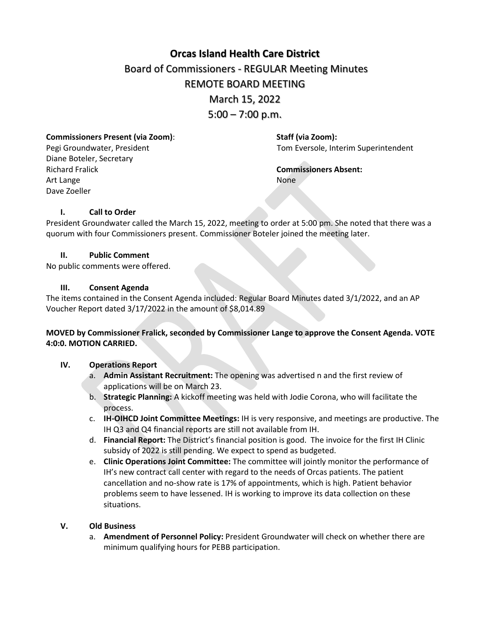# **[Orcas Island Health Care District](https://docs.google.com/document/d/1Ry8pgZ_nPvvmr9hj0f-9LE0fctWbFRHEpPoSe_gNVRw/edit?usp=sharing)** Board of Commissioners - REGULAR Meeting Minutes REMOTE BOARD MEETING March 15, 2022  $5:00 - 7:00$  p.m.

**Commissioners Present (via Zoom)**: **Staff (via Zoom):**

Diane Boteler, Secretary Richard Fralick **Commissioners Absent:** Art Lange None Dave Zoeller

Pegi Groundwater, President Tom Eversole, Interim Superintendent

# **I. Call to Order**

President Groundwater called the March 15, 2022, meeting to order at 5:00 pm. She noted that there was a quorum with four Commissioners present. Commissioner Boteler joined the meeting later.

### **II. Public Comment**

No public comments were offered.

### **III. Consent Agenda**

The items contained in the Consent Agenda included: Regular Board Minutes dated 3/1/2022, and an AP Voucher Report dated 3/17/2022 in the amount of \$8,014.89

# **MOVED by Commissioner Fralick, seconded by Commissioner Lange to approve the Consent Agenda. VOTE 4:0:0. MOTION CARRIED.**

### **IV. Operations Report**

- a. **Admin Assistant Recruitment:** The opening was advertised n and the first review of applications will be on March 23.
- b. **Strategic Planning:** A kickoff meeting was held with Jodie Corona, who will facilitate the process.
- c. **IH-OIHCD Joint Committee Meetings:** IH is very responsive, and meetings are productive. The IH Q3 and Q4 financial reports are still not available from IH.
- d. **Financial Report:** The District's financial position is good. The invoice for the first IH Clinic subsidy of 2022 is still pending. We expect to spend as budgeted.
- e. **Clinic Operations Joint Committee:** The committee will jointly monitor the performance of IH's new contract call center with regard to the needs of Orcas patients. The patient cancellation and no-show rate is 17% of appointments, which is high. Patient behavior problems seem to have lessened. IH is working to improve its data collection on these situations.

# **V. Old Business**

a. **Amendment of Personnel Policy:** President Groundwater will check on whether there are minimum qualifying hours for PEBB participation.